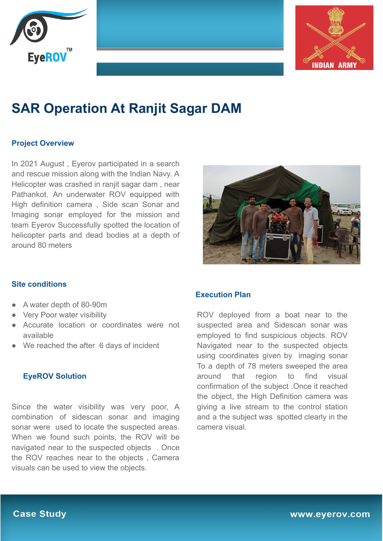



# **SAR Operation At Ranjit Sagar DAM**

### **Project Overview**

In 2021 August , Eyerov participated in a search and rescue mission along with the Indian Navy. A Helicopter was crashed in ranjit sagar dam , near Pathankot. An underwater ROV equipped with High definition camera , Side scan Sonar and Imaging sonar employed for the mission and team Eyerov Successfully spotted the location of helicopter parts and dead bodies at a depth of around 80 meters



#### **Site conditions**

- A water depth of 80-90m
- **Very Poor water visibility**
- Accurate location or coordinates were not available
- We reached the after 6 days of incident

#### **EyeROV Solution**

Since the water visibility was very poor, A combination of sidescan sonar and imaging sonar were used to locate the suspected areas. When we found such points, the ROV will be navigated near to the suspected objects . Once the ROV reaches near to the objects , Camera visuals can be used to view the objects.

#### **Execution Plan**

ROV deployed from a boat near to the suspected area and Sidescan sonar was employed to find suspicious objects. ROV Navigated near to the suspected objects using coordinates given by imaging sonar To a depth of 78 meters sweeped the area around that region to find visual confirmation of the subject .Once it reached the object, the High Definition camera was giving a live stream to the control station and a the subject was spotted clearly in the camera visual.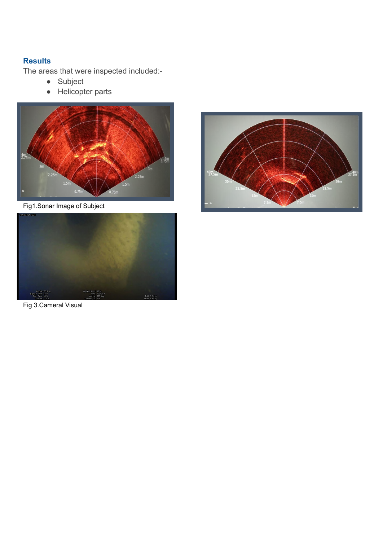## **Results**

The areas that were inspected included:-

- Subject
- Helicopter parts



Fig1.Sonar Image of Subject



Fig 3.Cameral Visual